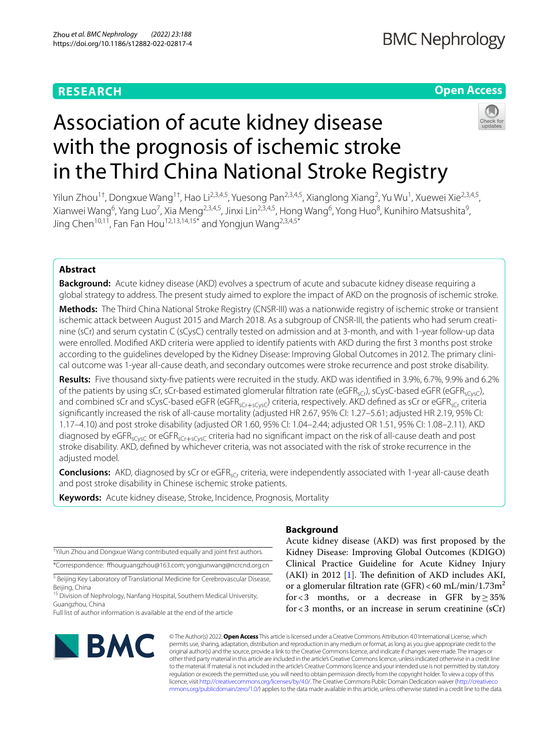# **RESEARCH**

# **Open Access**

# Association of acute kidney disease with the prognosis of ischemic stroke in the Third China National Stroke Registry



Yilun Zhou<sup>1†</sup>, Dongxue Wang<sup>1†</sup>, Hao Li<sup>2,3,4,5</sup>, Yuesong Pan<sup>2,3,4,5</sup>, Xianglong Xiang<sup>2</sup>, Yu Wu<sup>1</sup>, Xuewei Xie<sup>2,3,4,5</sup>, Xianwei Wang<sup>6</sup>, Yang Luo<sup>7</sup>, Xia Meng<sup>2,3,4,5</sup>, Jinxi Lin<sup>2,3,4,5</sup>, Hong Wang<sup>6</sup>, Yong Huo<sup>8</sup>, Kunihiro Matsushita<sup>9</sup>, Jing Chen<sup>10,11</sup>, Fan Fan Hou<sup>12,13,14,15\*</sup> and Yongjun Wang<sup>2,3,4,5\*</sup>

# **Abstract**

**Background:** Acute kidney disease (AKD) evolves a spectrum of acute and subacute kidney disease requiring a global strategy to address. The present study aimed to explore the impact of AKD on the prognosis of ischemic stroke.

**Methods:** The Third China National Stroke Registry (CNSR-III) was a nationwide registry of ischemic stroke or transient ischemic attack between August 2015 and March 2018. As a subgroup of CNSR-III, the patients who had serum creatinine (sCr) and serum cystatin C (sCysC) centrally tested on admission and at 3-month, and with 1-year follow-up data were enrolled. Modifed AKD criteria were applied to identify patients with AKD during the frst 3 months post stroke according to the guidelines developed by the Kidney Disease: Improving Global Outcomes in 2012. The primary clinical outcome was 1-year all-cause death, and secondary outcomes were stroke recurrence and post stroke disability.

**Results:** Five thousand sixty-fve patients were recruited in the study. AKD was identifed in 3.9%, 6.7%, 9.9% and 6.2% of the patients by using sCr, sCr-based estimated glomerular filtration rate (eGFR<sub>sCr</sub>), sCysC-based eGFR (eGFR<sub>sCysC</sub>), and combined sCr and sCysC-based eGFR (eGFR<sub>sCr+sCysC</sub>) criteria, respectively. AKD defined as sCr or eGFR<sub>sCr</sub> criteria signifcantly increased the risk of all-cause mortality (adjusted HR 2.67, 95% CI: 1.27–5.61; adjusted HR 2.19, 95% CI: 1.17–4.10) and post stroke disability (adjusted OR 1.60, 95% CI: 1.04–2.44; adjusted OR 1.51, 95% CI: 1.08–2.11). AKD diagnosed by eGFR<sub>sCysC</sub> or eGFR<sub>sCr+SCysC</sub> criteria had no significant impact on the risk of all-cause death and post stroke disability. AKD, defned by whichever criteria, was not associated with the risk of stroke recurrence in the adjusted model.

**Conclusions:** AKD, diagnosed by sCr or eGFR<sub>sCr</sub> criteria, were independently associated with 1-year all-cause death and post stroke disability in Chinese ischemic stroke patients.

**Keywords:** Acute kidney disease, Stroke, Incidence, Prognosis, Mortality

† Yilun Zhou and Dongxue Wang contributed equally and joint frst authors. \*Correspondence: fhouguangzhou@163.com; yongjunwang@ncrcnd.org.cn

<sup>5</sup> Beijing Key Laboratory of Translational Medicine for Cerebrovascular Disease, Beijing, China

<sup>15</sup> Division of Nephrology, Nanfang Hospital, Southern Medical University, Guangzhou, China

Full list of author information is available at the end of the article



# **Background**

Acute kidney disease (AKD) was frst proposed by the Kidney Disease: Improving Global Outcomes (KDIGO) Clinical Practice Guideline for Acute Kidney Injury (AKI) in 2012 [[1\]](#page-9-0). The definition of AKD includes AKI, or a glomerular filtration rate  $(GFR) < 60$  mL/min/1.73m<sup>2</sup> for <3 months, or a decrease in GFR by  $\geq$  35% for<3 months, or an increase in serum creatinine (sCr)

© The Author(s) 2022. **Open Access** This article is licensed under a Creative Commons Attribution 4.0 International License, which permits use, sharing, adaptation, distribution and reproduction in any medium or format, as long as you give appropriate credit to the original author(s) and the source, provide a link to the Creative Commons licence, and indicate if changes were made. The images or other third party material in this article are included in the article's Creative Commons licence, unless indicated otherwise in a credit line to the material. If material is not included in the article's Creative Commons licence and your intended use is not permitted by statutory regulation or exceeds the permitted use, you will need to obtain permission directly from the copyright holder. To view a copy of this licence, visit [http://creativecommons.org/licenses/by/4.0/.](http://creativecommons.org/licenses/by/4.0/) The Creative Commons Public Domain Dedication waiver ([http://creativeco](http://creativecommons.org/publicdomain/zero/1.0/) [mmons.org/publicdomain/zero/1.0/](http://creativecommons.org/publicdomain/zero/1.0/)) applies to the data made available in this article, unless otherwise stated in a credit line to the data.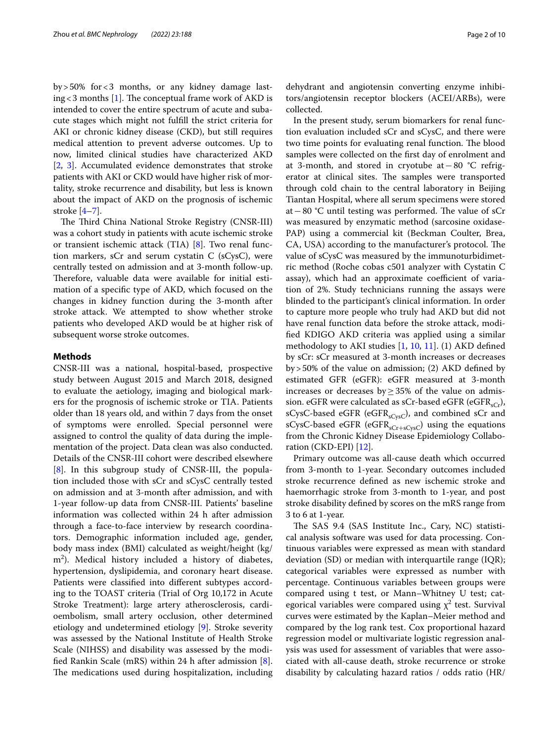by>50% for<3 months, or any kidney damage last-ing < 3 months [[1\]](#page-9-0). The conceptual frame work of AKD is intended to cover the entire spectrum of acute and subacute stages which might not fulfll the strict criteria for AKI or chronic kidney disease (CKD), but still requires medical attention to prevent adverse outcomes. Up to now, limited clinical studies have characterized AKD [[2,](#page-9-1) [3](#page-9-2)]. Accumulated evidence demonstrates that stroke patients with AKI or CKD would have higher risk of mortality, stroke recurrence and disability, but less is known about the impact of AKD on the prognosis of ischemic stroke [\[4](#page-9-3)[–7](#page-9-4)].

The Third China National Stroke Registry (CNSR-III) was a cohort study in patients with acute ischemic stroke or transient ischemic attack (TIA) [[8](#page-9-5)]. Two renal function markers, sCr and serum cystatin C (sCysC), were centrally tested on admission and at 3-month follow-up. Therefore, valuable data were available for initial estimation of a specifc type of AKD, which focused on the changes in kidney function during the 3-month after stroke attack. We attempted to show whether stroke patients who developed AKD would be at higher risk of subsequent worse stroke outcomes.

### **Methods**

CNSR-III was a national, hospital-based, prospective study between August 2015 and March 2018, designed to evaluate the aetiology, imaging and biological markers for the prognosis of ischemic stroke or TIA. Patients older than 18 years old, and within 7 days from the onset of symptoms were enrolled. Special personnel were assigned to control the quality of data during the implementation of the project. Data clean was also conducted. Details of the CNSR-III cohort were described elsewhere [[8\]](#page-9-5). In this subgroup study of CNSR-III, the population included those with sCr and sCysC centrally tested on admission and at 3-month after admission, and with 1-year follow-up data from CNSR-III. Patients' baseline information was collected within 24 h after admission through a face-to-face interview by research coordinators. Demographic information included age, gender, body mass index (BMI) calculated as weight/height (kg/ m2 ). Medical history included a history of diabetes, hypertension, dyslipidemia, and coronary heart disease. Patients were classifed into diferent subtypes according to the TOAST criteria (Trial of Org 10,172 in Acute Stroke Treatment): large artery atherosclerosis, cardioembolism, small artery occlusion, other determined etiology and undetermined etiology [\[9](#page-9-6)]. Stroke severity was assessed by the National Institute of Health Stroke Scale (NIHSS) and disability was assessed by the modifed Rankin Scale (mRS) within 24 h after admission [\[8](#page-9-5)]. The medications used during hospitalization, including

dehydrant and angiotensin converting enzyme inhibitors/angiotensin receptor blockers (ACEI/ARBs), were collected.

In the present study, serum biomarkers for renal function evaluation included sCr and sCysC, and there were two time points for evaluating renal function. The blood samples were collected on the frst day of enrolment and at 3-month, and stored in cryotube at−80 °C refrigerator at clinical sites. The samples were transported through cold chain to the central laboratory in Beijing Tiantan Hospital, where all serum specimens were stored at − 80 °C until testing was performed. The value of sCr was measured by enzymatic method (sarcosine oxidase-PAP) using a commercial kit (Beckman Coulter, Brea, CA, USA) according to the manufacturer's protocol. The value of sCysC was measured by the immunoturbidimetric method (Roche cobas c501 analyzer with Cystatin C assay), which had an approximate coefficient of variation of 2%. Study technicians running the assays were blinded to the participant's clinical information. In order to capture more people who truly had AKD but did not have renal function data before the stroke attack, modifed KDIGO AKD criteria was applied using a similar methodology to AKI studies [\[1](#page-9-0), [10](#page-9-7), [11\]](#page-9-8). (1) AKD defned by sCr: sCr measured at 3-month increases or decreases by>50% of the value on admission; (2) AKD defned by estimated GFR (eGFR): eGFR measured at 3-month increases or decreases by≥35% of the value on admission. eGFR were calculated as sCr-based eGFR (eGFR<sub>sCr</sub>), sCysC-based eGFR (eGFR<sub>sCysC</sub>), and combined sCr and sCysC-based eGFR (eGFR<sub>sCr+sCysC</sub>) using the equations from the Chronic Kidney Disease Epidemiology Collaboration (CKD-EPI) [\[12](#page-9-9)].

Primary outcome was all-cause death which occurred from 3-month to 1-year. Secondary outcomes included stroke recurrence defned as new ischemic stroke and haemorrhagic stroke from 3-month to 1-year, and post stroke disability defned by scores on the mRS range from 3 to 6 at 1-year.

The SAS 9.4 (SAS Institute Inc., Cary, NC) statistical analysis software was used for data processing. Continuous variables were expressed as mean with standard deviation (SD) or median with interquartile range (IQR); categorical variables were expressed as number with percentage. Continuous variables between groups were compared using t test, or Mann–Whitney U test; categorical variables were compared using  $\chi^2$  test. Survival curves were estimated by the Kaplan–Meier method and compared by the log rank test. Cox proportional hazard regression model or multivariate logistic regression analysis was used for assessment of variables that were associated with all-cause death, stroke recurrence or stroke disability by calculating hazard ratios / odds ratio (HR/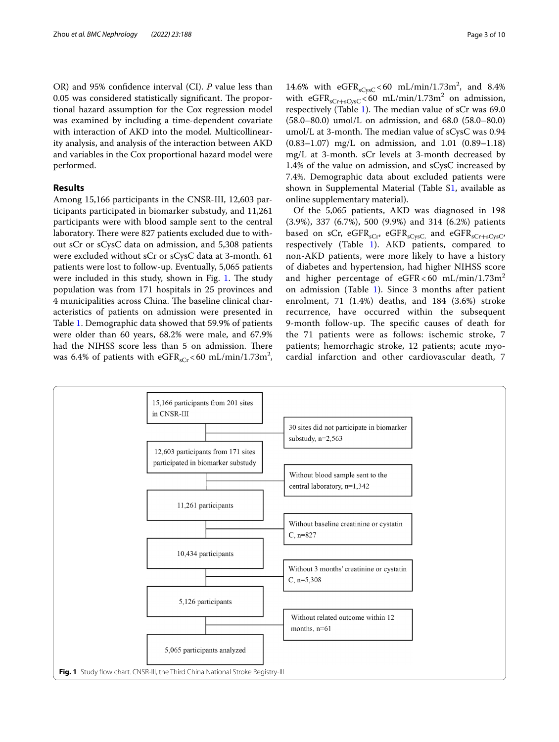OR) and 95% confdence interval (CI). *P* value less than 0.05 was considered statistically significant. The proportional hazard assumption for the Cox regression model was examined by including a time-dependent covariate with interaction of AKD into the model. Multicollinearity analysis, and analysis of the interaction between AKD and variables in the Cox proportional hazard model were performed.

## **Results**

Among 15,166 participants in the CNSR-III, 12,603 participants participated in biomarker substudy, and 11,261 participants were with blood sample sent to the central laboratory. There were 827 patients excluded due to without sCr or sCysC data on admission, and 5,308 patients were excluded without sCr or sCysC data at 3-month. 61 patients were lost to follow-up. Eventually, 5,065 patients were included in this study, shown in Fig. [1](#page-2-0). The study population was from 171 hospitals in 25 provinces and 4 municipalities across China. The baseline clinical characteristics of patients on admission were presented in Table [1](#page-3-0). Demographic data showed that 59.9% of patients were older than 60 years, 68.2% were male, and 67.9% had the NIHSS score less than 5 on admission. There was 6.4% of patients with  $eGFR<sub>sCr</sub> < 60$  mL/min/1.73m<sup>2</sup>,

14.6% with  $eGFR_{sCysC} < 60 \text{ mL/min}/1.73 \text{m}^2$ , and 8.4% with  $eGFR<sub>sCr+sCysC</sub> < 60 \text{ mL/min}/1.73 \text{m}^2$  on admission, respectively (Table [1\)](#page-3-0). The median value of  $sCr$  was 69.0 (58.0–80.0) umol/L on admission, and 68.0 (58.0–80.0) umol/L at 3-month. The median value of sCysC was 0.94 (0.83–1.07) mg/L on admission, and 1.01 (0.89–1.18) mg/L at 3-month. sCr levels at 3-month decreased by 1.4% of the value on admission, and sCysC increased by 7.4%. Demographic data about excluded patients were shown in Supplemental Material (Table [S1](#page-8-0), available as online supplementary material).

Of the 5,065 patients, AKD was diagnosed in 198 (3.9%), 337 (6.7%), 500 (9.9%) and 314 (6.2%) patients based on sCr, eGFR<sub>sCr</sub>, eGFR<sub>sCysC</sub>, and eGFR<sub>sCr+sCysC</sub>, respectively (Table [1\)](#page-3-0). AKD patients, compared to non-AKD patients, were more likely to have a history of diabetes and hypertension, had higher NIHSS score and higher percentage of  $e$ GFR < 60 mL/min/1.73m<sup>2</sup> on admission (Table [1\)](#page-3-0). Since 3 months after patient enrolment, 71 (1.4%) deaths, and 184 (3.6%) stroke recurrence, have occurred within the subsequent 9-month follow-up. The specific causes of death for the 71 patients were as follows: ischemic stroke, 7 patients; hemorrhagic stroke, 12 patients; acute myocardial infarction and other cardiovascular death, 7

<span id="page-2-0"></span>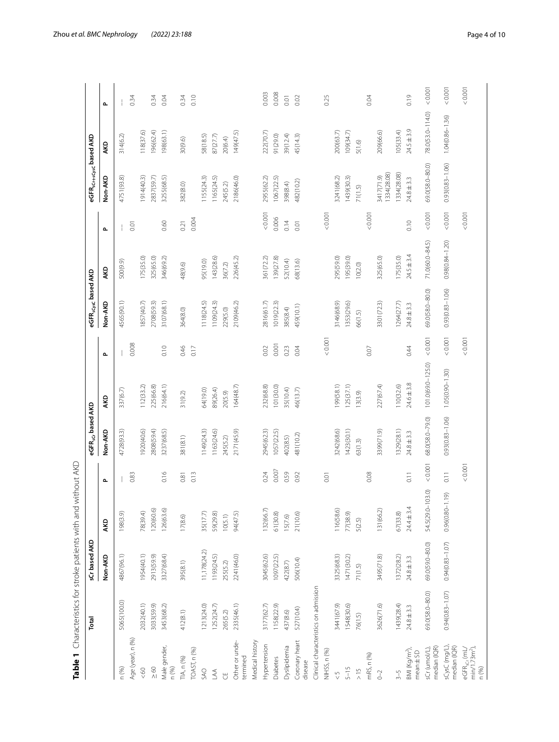|                                                               | Total                                 | Table 1 Characteristics for stroke patients with an<br>sCr based AKD |                     | d without AKD    | eGFR <sub>sCr</sub> based AKD |                     |              | eGFR <sub>sCysc</sub> based AKD |                     |                | eGFR <sub>sCr+sCys</sub> c based AKD |                     |                    |
|---------------------------------------------------------------|---------------------------------------|----------------------------------------------------------------------|---------------------|------------------|-------------------------------|---------------------|--------------|---------------------------------|---------------------|----------------|--------------------------------------|---------------------|--------------------|
|                                                               |                                       | Non-AKD                                                              | AKD                 | $\mathbf{r}$     | Non-AKD                       | AKD                 | $\mathbf{r}$ | Non-AKD                         | AKD                 | $\mathbf{r}$   | Non-AKD                              | AKD                 | $\mathbf{r}$       |
| n (%)                                                         | 5065(100.0)                           | 4867(96.1)                                                           | 198(3.9)            |                  | 4728(93.3)                    | 337(6.7)            |              | 4565(90.1)                      | 500(9.9)            |                | 4751(93.8)                           | 314(6.2)            |                    |
| Age (year), n (%)                                             |                                       |                                                                      |                     | 0.83             |                               |                     | 0.008        |                                 |                     | $\overline{0}$ |                                      |                     | 0.34               |
| $\leqslant 60$                                                | 2032(40.1)                            | 1954(40.1)                                                           | 78(39.4)            |                  | (920(40.6                     | 112(33.2)           |              | 857(40.7)                       | 175(35.0)           |                | 1914(40.3)                           | 118(37.6)           |                    |
| $\leq 60$                                                     | 3033(59.9)                            | 2913(59.9)                                                           | 120(60.6)           |                  | 2808(59.4)                    | 225(66.8)           |              | 2708(59.3)                      | 325(65.0)           |                | 2837(59.7)                           | 196(62.4)           | 0.34               |
| Male gender,<br>n (%)                                         | 3453(68.2)                            | 3327(68.4)                                                           | 126(63.6)           | 0.16             | 3237(68.5)                    | 216(64.1)           | 0.10         | 3107(68.1)                      | 346(69.2)           | 0.60           | 3255(68.5)                           | 198(63.1)           | 0.04               |
| TIA, n (%)                                                    | 412(8.1)                              | 395(8.1)                                                             | 17(8.6)             | 0.81             | 381(8.1)                      | 31(9.2)             | 0.46         | 364(8.0)                        | 48(9.6)             | 0.21           | 382(8.0)                             | 30(9.6)             | 0.34               |
| <b>TOAST, n (%)</b>                                           |                                       |                                                                      |                     | 0.13             |                               |                     | 0.17         |                                 |                     | 0.004          |                                      |                     | 0.10               |
| SAO                                                           | 1213(24.0)                            | 11,178(24.2)                                                         | 35(17.7)            |                  | 1149(24.3)                    | 64(19.0)            |              | 1118(24.5)                      | 95(19.0)            |                | 1155(24.3)                           | 58(18.5)            |                    |
| $\mathbb{A}$                                                  | 1252(24.7)                            | 1193(24.5)                                                           | 59(29.8)            |                  | 163(24.6)                     | 89(26.4)            |              | 1109(24.3)                      | 143(28.6)           |                | 1165(24.5)                           | 87(27.7)            |                    |
| $\overline{H}$                                                | 265(5.2)                              | 255(5.2)                                                             | 10(5.1)             |                  | 245(5.2)                      | 20(5.9)             |              | 229(5.0)                        | 36(7.2)             |                | 245(5.2)                             | 20(6.4)             |                    |
| Other or unde-<br>termined                                    | 2335(46.1)                            | 2241(46.0)                                                           | 94(47.5)            |                  | 2171(45.9)                    | 164(48.7)           |              | 2109(46.2)                      | 226(45.2)           |                | 2186(46.0)                           | 149(47.5)           |                    |
| Medical history                                               |                                       |                                                                      |                     |                  |                               |                     |              |                                 |                     |                |                                      |                     |                    |
| Hypertension                                                  | 3177(62.7)                            | 3045(62.6)                                                           | 132(66.7            | 0.24             | 2945(62.3)                    | 232(68.8)           | 0.02         | 2816(61.7)                      | 361(72.2)           | 0.001          | 2955(62.2)                           | 222(70.7)           | 0.003              |
| Diabetes                                                      | 1158(22.9)                            | 1097(22.5)                                                           | 61(30.8)            | 0.007            | 1057(22.5)                    | 101(30.0)           | 0.001        | 1019(22.3)                      | 139(27.8)           | 0.006          | 1067(22.5)                           | 91(29.0)            | 0.008              |
| Dyslipidemia                                                  | 437(8.6)                              | 422(8.7)                                                             | 15(7.6)             | 0.59             | 402(8.5)                      | 35(10.4)            | 0.23         | 385(8.4)                        | 52(10.4)            | 0.14           | 398(8.4)                             | 39(12.4)            | $\overline{\rm O}$ |
| Coronary heart<br>disease                                     | 527(10.4)                             | 506(10.4)                                                            | 21(10.6)            | 0.92             | 481(10.2)                     | 46(13.7)            | 0.04         | 459(10.1)                       | 68(13.6)            | 0.01           | 482(10.2)                            | 45(14.3)            | 0.02               |
|                                                               | Clinical characteristics on admission |                                                                      |                     |                  |                               |                     |              |                                 |                     |                |                                      |                     |                    |
| NIHSS, n (%)                                                  |                                       |                                                                      |                     | 0.01             |                               |                     | 0.001        |                                 |                     | 0.0001         |                                      |                     | 0.25               |
| $\frac{5}{2}$                                                 | 3441(67.9)                            | 3325(68.3)                                                           | 116(58.6)           |                  | 3242(68.6)                    | 199(58.1)           |              | 3146(68.9)                      | 295(59.0)           |                | 3241(68.2)                           | 200(63.7)           |                    |
| $5 - 15$                                                      | 1548(30.6)                            | 1471(30.2)                                                           | 77(38.9)            |                  | 1423(30.1)                    | 125(37.1)           |              | 1353(29.6)                      | 195(39.0)           |                | 1439(30.3)                           | 109(34.7)           |                    |
| $\frac{5}{2}$                                                 | 76(1.5)                               | 71(1.5)                                                              | 5(2.5)              |                  | 63(1.3)                       | 13(3.9)             |              | 66(1.5)                         | 10(2.0)             |                | 71(1.5)                              | 5(1.6)              |                    |
| mRS, n (%)                                                    |                                       |                                                                      |                     | 0.08             |                               |                     | 0.07         |                                 |                     | 0.0001         |                                      |                     | 0.04               |
| $O - 2$                                                       | 3626(71.6)                            | 3495(71.8)                                                           | 131(66.2)           |                  | 3399(71.9)                    | 227(67.4)           |              | 3301(72.3)                      | 325(65.0)           |                | 1334(28.08)<br>3417(71.9)            | 209(66.6)           |                    |
| $3 - 5$                                                       | 1439(28.4)                            | 1372(28.2)                                                           | 67(33.8)            |                  | 1329(28.1)                    | 110(32.6)           |              | 1264(27.7)                      | 175(35.0)           |                | 1334(28.08)                          | 105(33.4)           |                    |
| BMI (Kg/m <sup>2</sup> ),<br>mean ± SD                        | $24.8 \pm 3.3$                        | $24.8 \pm 3.3$                                                       | $24.4 \pm 3.4$      | $\overline{0}$ . | $24.8 \pm 3.3$                | $24.6 \pm 3.8$      | 0.44         | $24.8 \pm 3.3$                  | $24.5 \pm 3.4$      | 0.10           | $24.8 \pm 3.3$                       | $24.5 \pm 3.9$      | 0.19               |
| median (IQR)<br>sCr (umol/L),                                 | $69.0(58.0 - 80.0)$                   | 69.0(59.0-80.0)                                                      | 54.5(29.0-103.0)    | 10000            | 68.0(58.0-79.0)               | 101.0(69.0-125.0)   | 10000        | 69.0(58.0-80.0)                 | 71.0(60.0-84.5)     | 0.0001         | $69.0(58.0 - 80.0)$                  | 78.0(53.0-114.0)    | < 0.001            |
| sCysC (mg/L)<br>median (IQR)                                  | $0.94(0.83 - 1.07)$                   | $0.94(0.83 - 1.07)$                                                  | $0.96(0.80 - 1.19)$ | $\overline{0}$ . | $0.93(0.83 - 1.06)$           | $1.05(0.90 - 1.30)$ | 0.001        | $0.93(0.83 - 1.06)$             | $0.98(0.84 - 1.20)$ | 0.001          | $0.93(0.83 - 1.06)$                  | $1.04(0.86 - 1.36)$ | 0.001              |
| min/1.73m <sup>2</sup> ),<br>n(%)<br>eGFR <sub>scr</sub> (mL/ |                                       |                                                                      |                     | 0.001            |                               |                     | 0.001        |                                 |                     | 0.0001         |                                      |                     | 0.001              |

<span id="page-3-0"></span>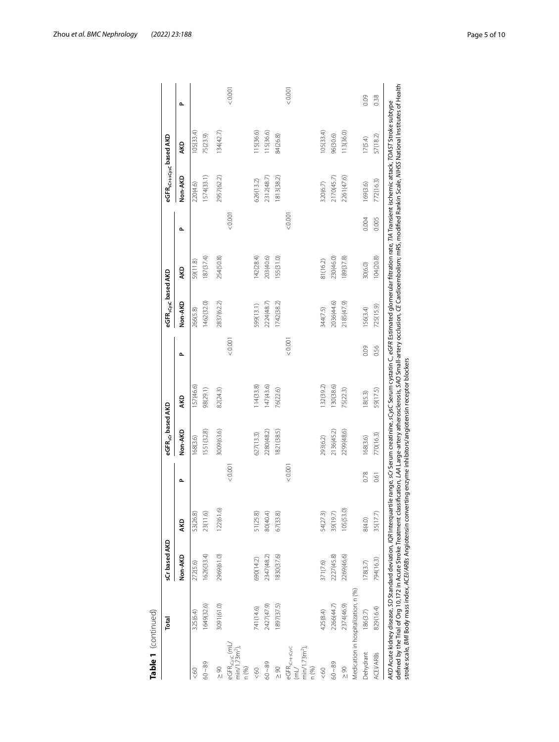|                                                                         | Total                                | sCr based AKD |            |         | eGFR <sub>sGr</sub> based AKD |            |        | eGFR <sub>scysc</sub> based AKD |           |         | eGFR <sub>sCr+sCysc</sub> based AKD |           |       |
|-------------------------------------------------------------------------|--------------------------------------|---------------|------------|---------|-------------------------------|------------|--------|---------------------------------|-----------|---------|-------------------------------------|-----------|-------|
|                                                                         |                                      | Non-AKD       | <b>AKD</b> | م       | Non-AKD                       | <b>AKD</b> | م      | Non-AKD                         | ЯЮ        | م       | Non-AKD                             | AKD       | م     |
| &00                                                                     | 325(6.4)                             | 272(5.6)      | 53(26.8)   |         | 168(3.6)                      | 157(46.6)  |        | 266(5.8)                        | 59(11.8)  |         | 220(4.6)                            | 105(33.4) |       |
| $60 - 89$                                                               | 1649(32.6)                           | 1626(33.4)    | 23(11.6)   |         | 1551(32.8)                    | 98(29.1)   |        | 1462(32.0)                      | 187(37.4) |         | 1574(33.1)                          | 75(23.9)  |       |
| $\frac{8}{1}$                                                           | 3091(61.0)                           | 2969(61.0)    | 122(61.6)  |         | 3009(63.6)                    | 82(24.3)   |        | 2837(62.2)                      | 254(50.8) |         | 2957(62.2)                          | 134(42.7) |       |
| eGFR <sub>scysC</sub> (mL<br>$min/1.73m2$ ),<br>n (%)                   |                                      |               |            | < 0.001 |                               |            | &0.001 |                                 |           | < 0.001 |                                     |           | 0.001 |
| 60 <sub>0</sub>                                                         | 741(14.6)                            | 690(14.2)     | 51 (25.8)  |         | 627(13.3)                     | 114(33.8)  |        | 599(13.1)                       | 142(28.4) |         | 626(13.2)                           | 115(36.6) |       |
| $60 - 89$                                                               | 2427(47.9)                           | 2347(48.2)    | 80(40.4)   |         | 2280(48.2)                    | 147(43.6)  |        | 2224(48.7)                      | 203(40.6) |         | 2312(48.7)                          | 115(36.6) |       |
| $\frac{8}{1}$                                                           | 1897(37.5)                           | 1830(37.6)    | 67(33.8)   |         | 821(38.5)                     | 76(22.6)   |        | 1742(38.2)                      | 155(31.0) |         | 813(38.2)                           | 84(26.8)  |       |
| eGFR <sub>sCr+sCysC</sub><br>$min/1.73m2$ ),<br>$\overline{H}$<br>n(96) |                                      |               |            | < 0.001 |                               |            | &0.001 |                                 |           | 0.001   |                                     |           | 0.001 |
| 60                                                                      | 425(8.4)                             | 371(7.6)      | 54(27.3)   |         | 293(6.2)                      | 32(39.2)   |        | 344(7.5)                        | 81(16.2)  |         | 320(6.7)                            | 105(33.4) |       |
| $60 - 89$                                                               | 2266(44.7)                           | 2227(45.8)    | 39(19.7)   |         | 2136(45.2)                    | 130(38.6)  |        | 2036(44.6)                      | 230(46.0) |         | 2170(45.7)                          | 96(30.6)  |       |
| $\frac{8}{1}$                                                           | 2374(46.9)                           | 2269(46.6)    | 105(53.0)  |         | 2299(48.6)                    | 75(22.3)   |        | 2185(47.9)                      | 189(37.8) |         | 2261(47.6)                          | 113(36.0) |       |
|                                                                         | Medication in hospitalization, n (%) |               |            |         |                               |            |        |                                 |           |         |                                     |           |       |
| Dehydrant                                                               | 186(3.7)                             | 178(3.7)      | 8(4.0)     | 0.78    | 168(3.6)                      | 18(5.3)    | 0.09   | 156(3.4)                        | 30(6.0)   | 0.004   | 169(3.6)                            | 17(5.4)   | 0.09  |
| ACEI/ARBs                                                               | 829(16.4)                            | 794(16.3)     | 35(17.7)   | 0.61    | 770(16.3)                     | 59(17.5)   | 0.56   | 725(15.9)                       | 104(20.8) | 0.005   | 772(16.3)                           | 57(18.2)  | 0.38  |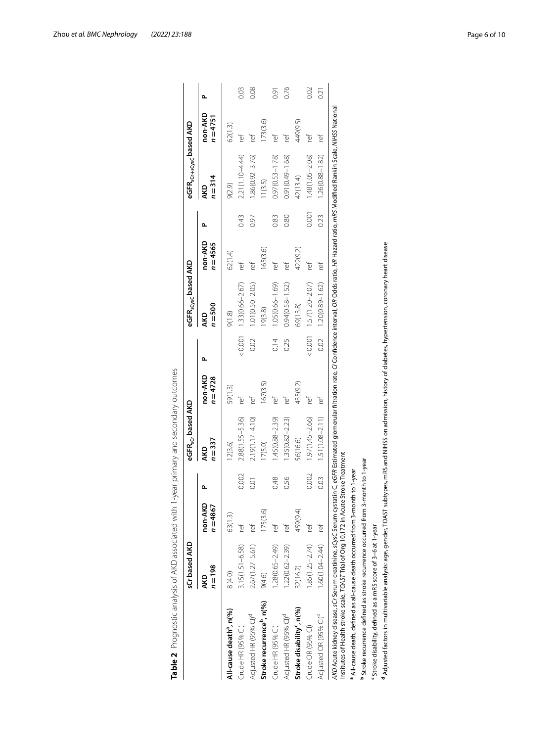|                                                                                                                                                                                                                                                                                                               | sCr based AKD       |                       |                | eGFR <sub>sCr</sub> based AKD |                       |         | eGFR <sub>sCysc</sub> based AKD |                       |       | eGFR <sub>sCr+sCysc</sub> based AKD |                       |      |
|---------------------------------------------------------------------------------------------------------------------------------------------------------------------------------------------------------------------------------------------------------------------------------------------------------------|---------------------|-----------------------|----------------|-------------------------------|-----------------------|---------|---------------------------------|-----------------------|-------|-------------------------------------|-----------------------|------|
|                                                                                                                                                                                                                                                                                                               | $n = 198$<br>AKD    | non-AKD<br>$n = 4867$ | Δ              | $n = 337$<br>AKD              | non-AKD<br>$n = 4728$ | ے       | $n = 500$<br>AKD                | non-AKD<br>$n = 4565$ | م     | $n = 314$<br>AKD                    | non-AKD<br>$n = 4751$ | ے    |
| All-cause death <sup>9</sup> , n(%)                                                                                                                                                                                                                                                                           | 8 (4.0)             | 63(1.3)               |                | 12(3.6)                       | 59(1.3)               |         | 9(1.8)                          | 62(1.4)               |       | 9(2.9)                              | 62(1.3)               |      |
| Crude HR (95% CI)                                                                                                                                                                                                                                                                                             | $3.15(1.51 - 6.58)$ | ľet                   | 0.002          | $2.88(1.55 - 5.36)$           | ľef                   | 0.001   | 1.33(0.66-2.67)                 | ľē                    | 0.43  | 2.21 (1.10-4.44)                    | ref                   | 0.03 |
| Adjusted HR (95% CI) <sup>d</sup>                                                                                                                                                                                                                                                                             | 2.67(1.27-5.61)     | ľē                    | $\overline{0}$ | $2.19(1.17 - 4.10)$           | ref                   | 0.02    | $1.01(0.50 - 2.05)$             | ľēÍ                   | 0.97  | $1.86(0.92 - 3.76)$                 | ľē                    | 0.08 |
| Stroke recurrence <sup>b</sup> , n(%)                                                                                                                                                                                                                                                                         | 9(4.6)              | 175(3.6)              |                | 17(5.0)                       | 167(3.5)              |         | 9(3.8)                          | 165(3.6)              |       | 11(3.5)                             | 173(3.6)              |      |
| Crude HR (95% CI)                                                                                                                                                                                                                                                                                             | 1.28(0.65-2.49)     | ľē                    | 0.48           | 1.45(0.88-2.39)               | ľē                    | 0.14    | 1.05(0.66-1.69)                 | ľef                   | 0.83  | $0.97(0.53 - 1.78)$                 | ₻                     | 0.91 |
| Adjusted HR (95% CI) <sup>d</sup>                                                                                                                                                                                                                                                                             | $1.22(0.62 - 2.39)$ | ref                   | 0.56           | $1.35(0.82 - 2.23)$           | ref                   | 0.25    | $0.94(0.58 - 1.52)$             | ľē                    | 0.80  | $0.91(0.49 - 1.68)$                 | ref                   | 0.76 |
| Stroke disability <sup>c</sup> , n(%)                                                                                                                                                                                                                                                                         | 32(16.2)            | 459(9.4)              |                | 56(16.6)                      | 435(9.2)              |         | 69(13.8)                        | 422(9.2)              |       | 42(13.4)                            | 449(9.5)              |      |
| Crude OR (95% CI)                                                                                                                                                                                                                                                                                             | $1.85(1.25 - 2.74)$ | ľef                   | 0.002          | $1.97(1.45 - 2.66)$           | ľef                   | < 0.001 | $1.57(1.20 - 2.07)$             | ľef                   | 0.001 | $1.48(1.05 - 2.08)$                 | ľēf                   | 0.02 |
| Adjusted OR (95% CI) <sup>d</sup>                                                                                                                                                                                                                                                                             | 1.60(1.04-2.44)     | Ϊē                    | 0.03           | $1.51(1.08 - 2.11)$           | ľef                   | 0.02    | $1.20(0.89 - 1.62)$             | ľef                   | 0.23  | $1.26(0.88 - 1.82)$                 | ľef                   | 0.21 |
| AKD Acute kidney disease, sCr Serum creatinine, sCysC Serum cystatin C, eGFR Estimated glomerular filtration rate, Cl Confidence interval, OR Odds ratio, HR Hazard ratio, mRS Modified Rankin Scale, MHSS National<br>Institutes of Health stroke scale, TOAST Trial of Org 10,172 in Acute Stroke Treatment |                     |                       |                |                               |                       |         |                                 |                       |       |                                     |                       |      |
| a All-cause death, defined as all-cause death occurred from 3-month to 1-year                                                                                                                                                                                                                                 |                     |                       |                |                               |                       |         |                                 |                       |       |                                     |                       |      |
| <sup>b</sup> Stroke recurrence defined as stroke recurrence occurred from 3-month to 1-year                                                                                                                                                                                                                   |                     |                       |                |                               |                       |         |                                 |                       |       |                                     |                       |      |
| 'stroke disability, defined as a mRS score of 3-6 at 1-year                                                                                                                                                                                                                                                   |                     |                       |                |                               |                       |         |                                 |                       |       |                                     |                       |      |
| <sup>4</sup> Adjusted factors in multivariable analysis: age, gender, TOAST subtypes, mRS and NIHSS on admission, history of diabetes, hypertension, coronary heart disease                                                                                                                                   |                     |                       |                |                               |                       |         |                                 |                       |       |                                     |                       |      |

<span id="page-5-0"></span>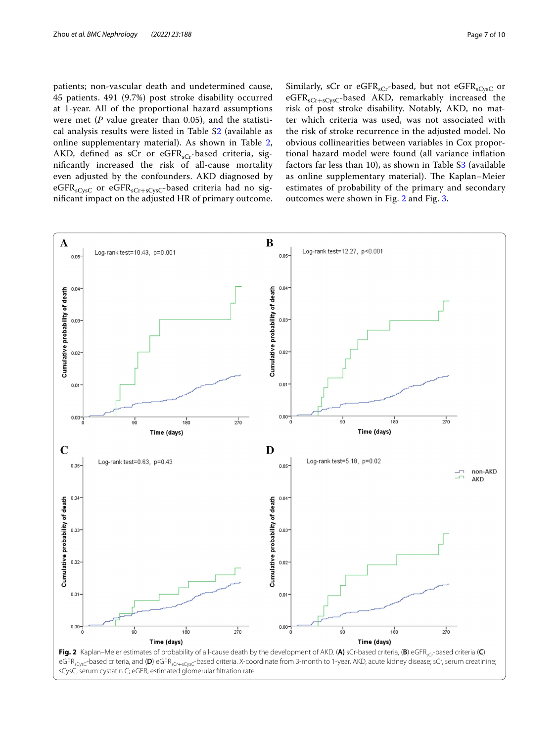patients; non-vascular death and undetermined cause, 45 patients. 491 (9.7%) post stroke disability occurred at 1-year. All of the proportional hazard assumptions were met (*P* value greater than 0.05), and the statistical analysis results were listed in Table S[2](#page-8-0) (available as online supplementary material). As shown in Table [2](#page-5-0), AKD, defined as sCr or eGFR<sub>sCr</sub>-based criteria, signifcantly increased the risk of all-cause mortality even adjusted by the confounders. AKD diagnosed by eGFR<sub>sCysC</sub> or eGFR<sub>sCr+sCysC</sub>-based criteria had no signifcant impact on the adjusted HR of primary outcome.

Similarly, sCr or eGFR<sub>sCr</sub>-based, but not eGFR<sub>sCysC</sub> or  $eGFR<sub>sCr+sCvsc</sub>$ -based AKD, remarkably increased the risk of post stroke disability. Notably, AKD, no matter which criteria was used, was not associated with the risk of stroke recurrence in the adjusted model. No obvious collinearities between variables in Cox proportional hazard model were found (all variance infation factors far less than 10), as shown in Table [S3](#page-8-0) (available as online supplementary material). The Kaplan-Meier estimates of probability of the primary and secondary outcomes were shown in Fig. [2](#page-6-0) and Fig. [3.](#page-7-0)

<span id="page-6-0"></span>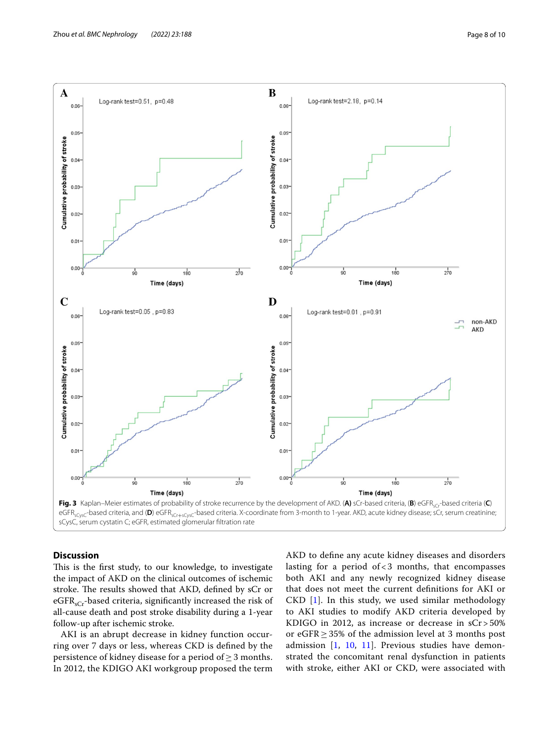

<span id="page-7-0"></span>

# **Discussion**

This is the first study, to our knowledge, to investigate the impact of AKD on the clinical outcomes of ischemic stroke. The results showed that AKD, defined by sCr or eGFR<sub>sCr</sub>-based criteria, significantly increased the risk of all-cause death and post stroke disability during a 1-year follow-up after ischemic stroke.

AKI is an abrupt decrease in kidney function occurring over 7 days or less, whereas CKD is defned by the persistence of kidney disease for a period of  $\geq$  3 months. In 2012, the KDIGO AKI workgroup proposed the term AKD to defne any acute kidney diseases and disorders lasting for a period of  $<$  3 months, that encompasses both AKI and any newly recognized kidney disease that does not meet the current defnitions for AKI or CKD [[1\]](#page-9-0). In this study, we used similar methodology to AKI studies to modify AKD criteria developed by KDIGO in 2012, as increase or decrease in sCr > 50% or eGFR≥35% of the admission level at 3 months post admission [\[1](#page-9-0), [10,](#page-9-7) [11](#page-9-8)]. Previous studies have demonstrated the concomitant renal dysfunction in patients with stroke, either AKI or CKD, were associated with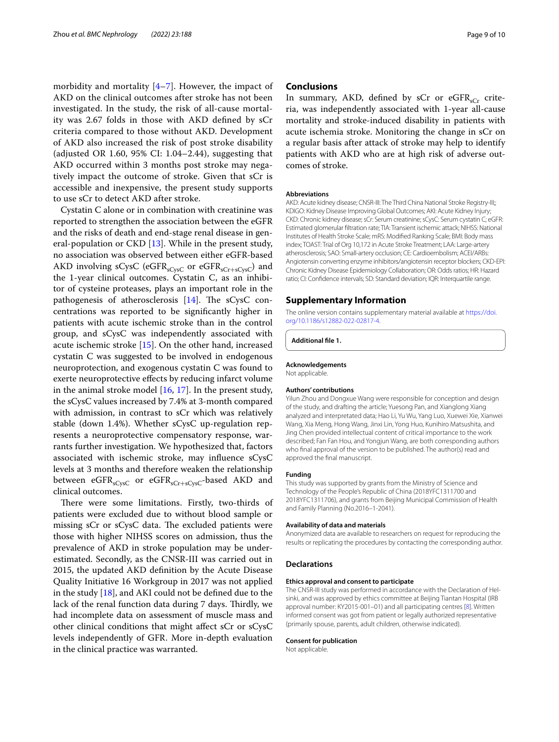morbidity and mortality  $[4-7]$  $[4-7]$ . However, the impact of AKD on the clinical outcomes after stroke has not been investigated. In the study, the risk of all-cause mortality was 2.67 folds in those with AKD defned by sCr criteria compared to those without AKD. Development of AKD also increased the risk of post stroke disability (adjusted OR 1.60, 95% CI: 1.04–2.44), suggesting that AKD occurred within 3 months post stroke may negatively impact the outcome of stroke. Given that sCr is accessible and inexpensive, the present study supports to use sCr to detect AKD after stroke.

Cystatin C alone or in combination with creatinine was reported to strengthen the association between the eGFR and the risks of death and end-stage renal disease in general-population or CKD [\[13](#page-9-10)]. While in the present study, no association was observed between either eGFR-based AKD involving sCysC (eGFR<sub>sCysC</sub> or eGFR<sub>sCr+sCysC</sub>) and the 1-year clinical outcomes. Cystatin C, as an inhibitor of cysteine proteases, plays an important role in the pathogenesis of atherosclerosis  $[14]$  $[14]$ . The sCysC concentrations was reported to be signifcantly higher in patients with acute ischemic stroke than in the control group, and sCysC was independently associated with acute ischemic stroke [\[15](#page-9-12)]. On the other hand, increased cystatin C was suggested to be involved in endogenous neuroprotection, and exogenous cystatin C was found to exerte neuroprotective efects by reducing infarct volume in the animal stroke model [\[16](#page-9-13), [17](#page-9-14)]. In the present study, the sCysC values increased by 7.4% at 3-month compared with admission, in contrast to sCr which was relatively stable (down 1.4%). Whether sCysC up-regulation represents a neuroprotective compensatory response, warrants further investigation. We hypothesized that, factors associated with ischemic stroke, may infuence sCysC levels at 3 months and therefore weaken the relationship between  $eGFR<sub>sCysC</sub>$  or  $eGFR<sub>sCr+sCysC</sub>$ -based AKD and clinical outcomes.

There were some limitations. Firstly, two-thirds of patients were excluded due to without blood sample or missing sCr or sCysC data. The excluded patients were those with higher NIHSS scores on admission, thus the prevalence of AKD in stroke population may be underestimated. Secondly, as the CNSR-III was carried out in 2015, the updated AKD defnition by the Acute Disease Quality Initiative 16 Workgroup in 2017 was not applied in the study  $[18]$  $[18]$ , and AKI could not be defined due to the lack of the renal function data during 7 days. Thirdly, we had incomplete data on assessment of muscle mass and other clinical conditions that might afect sCr or sCysC levels independently of GFR. More in-depth evaluation in the clinical practice was warranted.

#### **Conclusions**

In summary, AKD, defined by sCr or  $eGFR<sub>sCr</sub>$  criteria, was independently associated with 1-year all-cause mortality and stroke-induced disability in patients with acute ischemia stroke. Monitoring the change in sCr on a regular basis after attack of stroke may help to identify patients with AKD who are at high risk of adverse outcomes of stroke.

#### **Abbreviations**

AKD: Acute kidney disease; CNSR-III: The Third China National Stroke Registry-III;; KDIGO: Kidney Disease Improving Global Outcomes; AKI: Acute Kidney Injury; CKD: Chronic kidney disease; sCr: Serum creatinine; sCysC: Serum cystatin C; eGFR: Estimated glomerular fltration rate; TIA: Transient ischemic attack; NIHSS: National Institutes of Health Stroke Scale; mRS: Modifed Ranking Scale; BMI: Body mass index; TOAST: Trial of Org 10,172 in Acute Stroke Treatment; LAA: Large-artery atherosclerosis; SAO: Small-artery occlusion; CE: Cardioembolism; ACEI/ARBs: Angiotensin converting enzyme inhibitors/angiotensin receptor blockers; CKD-EPI: Chronic Kidney Disease Epidemiology Collaboration; OR: Odds ratios; HR: Hazard ratio; CI: Confdence intervals; SD: Standard deviation; IQR: Interquartile range.

#### **Supplementary Information**

The online version contains supplementary material available at [https://doi.](https://doi.org/10.1186/s12882-022-02817-4) [org/10.1186/s12882-022-02817-4](https://doi.org/10.1186/s12882-022-02817-4).

<span id="page-8-0"></span>**Additional fle 1.**

**Acknowledgements** Not applicable.

#### **Authors' contributions**

Yilun Zhou and Dongxue Wang were responsible for conception and design of the study, and drafting the article; Yuesong Pan, and Xianglong Xiang analyzed and interpretated data; Hao Li, Yu Wu, Yang Luo, Xuewei Xie, Xianwei Wang, Xia Meng, Hong Wang, Jinxi Lin, Yong Huo, Kunihiro Matsushita, and Jing Chen provided intellectual content of critical importance to the work described; Fan Fan Hou, and Yongjun Wang, are both corresponding authors who fnal approval of the version to be published. The author(s) read and approved the fnal manuscript.

#### **Funding**

This study was supported by grants from the Ministry of Science and Technology of the People's Republic of China (2018YFC1311700 and 2018YFC1311706), and grants from Beijing Municipal Commission of Health and Family Planning (No.2016–1-2041).

#### **Availability of data and materials**

Anonymized data are available to researchers on request for reproducing the results or replicating the procedures by contacting the corresponding author.

#### **Declarations**

#### **Ethics approval and consent to participate**

The CNSR-III study was performed in accordance with the Declaration of Helsinki, and was approved by ethics committee at Beijing Tiantan Hospital (IRB approval number: KY2015-001–01) and all participating centres [[8](#page-9-5)]. Written informed consent was got from patient or legally authorized representative (primarily spouse, parents, adult children, otherwise indicated).

#### **Consent for publication**

Not applicable.